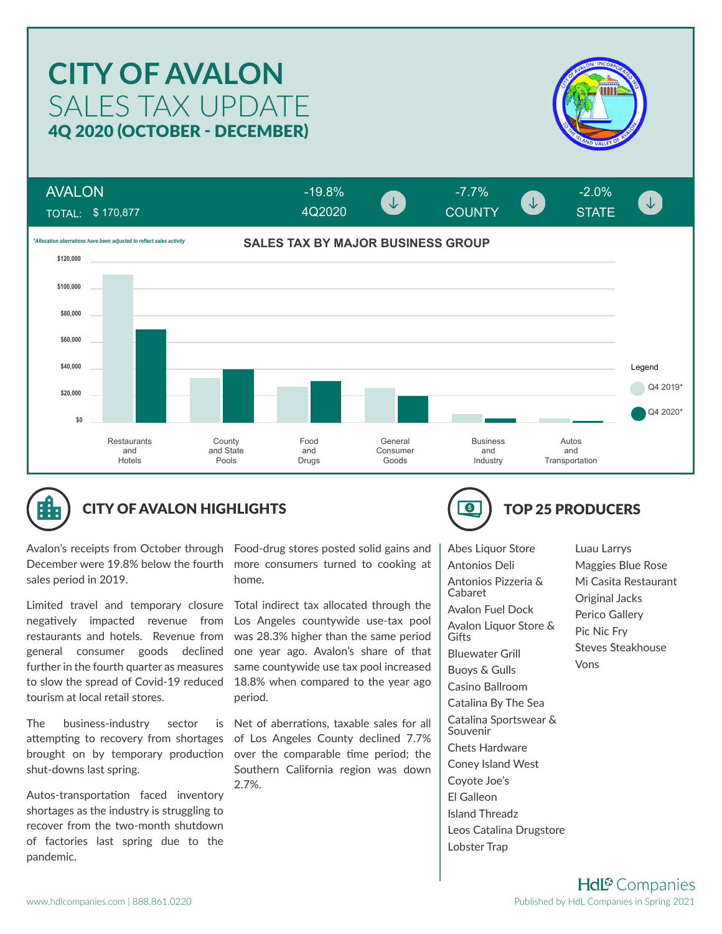# SALES TAX UPDATE **CITY OF AVALON** 4Q 2020 (OCTOBER - DECEMBER)



TOTAL: \$ 170,877 AVALON



4Q2020

-19.8% -7.7% -2.0%

COUNTY STATE





## CITY OF AVALON HIGHLIGHTS **TOP 25 PRODUCERS**

Avalon's receipts from October through December were 19.8% below the fourth sales period in 2019.

Limited travel and temporary closure Total indirect tax allocated through the negatively impacted revenue from restaurants and hotels. Revenue from general consumer goods declined further in the fourth quarter as measures to slow the spread of Covid-19 reduced tourism at local retail stores.

The business-industry sector is attempting to recovery from shortages brought on by temporary production shut-downs last spring.

Autos-transportation faced inventory shortages as the industry is struggling to recover from the two-month shutdown of factories last spring due to the pandemic.

Food-drug stores posted solid gains and more consumers turned to cooking at home.

Los Angeles countywide use-tax pool was 28.3% higher than the same period one year ago. Avalon's share of that same countywide use tax pool increased 18.8% when compared to the year ago period.

Net of aberrations, taxable sales for all of Los Angeles County declined 7.7% over the comparable time period; the Southern California region was down 2.7%.



Abes Liquor Store Antonios Deli Antonios Pizzeria & Cabaret Avalon Fuel Dock Avalon Liquor Store & Gifts Bluewater Grill Buoys & Gulls Casino Ballroom Catalina By The Sea Catalina Sportswear & Souvenir Chets Hardware Coney Island West Coyote Joe's El Galleon Island Threadz Leos Catalina Drugstore Lobster Trap

Luau Larrys Maggies Blue Rose Mi Casita Restaurant Original Jacks Perico Gallery Pic Nic Fry Steves Steakhouse Vons